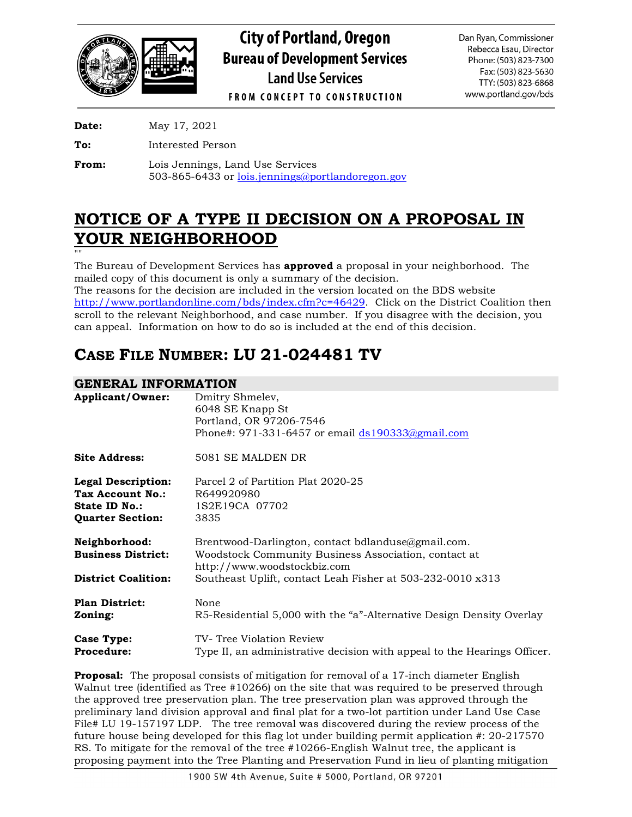

**City of Portland, Oregon Bureau of Development Services Land Use Services** 

Dan Ryan, Commissioner Rebecca Esau, Director Phone: (503) 823-7300 Fax: (503) 823-5630 TTY: (503) 823-6868 www.portland.gov/bds

**FROM CONCEPT TO CONSTRUCTION** 

**Date:** May 17, 2021

**To:** Interested Person

**From:** Lois Jennings, Land Use Services 503-865-6433 or [lois.jennings@portlandoregon.gov](mailto:lois.jennings@portlandoregon.gov)

# **NOTICE OF A TYPE II DECISION ON A PROPOSAL IN YOUR NEIGHBORHOOD**

"" The Bureau of Development Services has **approved** a proposal in your neighborhood. The mailed copy of this document is only a summary of the decision.

The reasons for the decision are included in the version located on the BDS website [http://www.portlandonline.com/bds/index.cfm?c=46429.](http://www.portlandonline.com/bds/index.cfm?c=46429) Click on the District Coalition then scroll to the relevant Neighborhood, and case number. If you disagree with the decision, you can appeal. Information on how to do so is included at the end of this decision.

# **CASE FILE NUMBER: LU 21-024481 TV**

# **GENERAL INFORMATION**

| ,,,,,,,,,,,,,,,,,,,,,,,,,,,,,,                                                            |                                                                                                                                                                                                         |
|-------------------------------------------------------------------------------------------|---------------------------------------------------------------------------------------------------------------------------------------------------------------------------------------------------------|
| <b>Applicant/Owner:</b>                                                                   | Dmitry Shmelev,<br>6048 SE Knapp St<br>Portland, OR 97206-7546<br>Phone#: $971-331-6457$ or email $ds190333@gmail.com$                                                                                  |
| <b>Site Address:</b>                                                                      | 5081 SE MALDEN DR                                                                                                                                                                                       |
| <b>Legal Description:</b><br>Tax Account No.:<br>State ID No.:<br><b>Quarter Section:</b> | Parcel 2 of Partition Plat 2020-25<br>R649920980<br>1S2E19CA 07702<br>3835                                                                                                                              |
| Neighborhood:<br><b>Business District:</b><br><b>District Coalition:</b>                  | Brentwood-Darlington, contact bdlanduse@gmail.com.<br>Woodstock Community Business Association, contact at<br>http://www.woodstockbiz.com<br>Southeast Uplift, contact Leah Fisher at 503-232-0010 x313 |
| <b>Plan District:</b><br>Zoning:                                                          | None<br>R5-Residential 5,000 with the "a"-Alternative Design Density Overlay                                                                                                                            |
| Case Type:<br><b>Procedure:</b>                                                           | TV-Tree Violation Review<br>Type II, an administrative decision with appeal to the Hearings Officer.                                                                                                    |

**Proposal:** The proposal consists of mitigation for removal of a 17-inch diameter English Walnut tree (identified as Tree #10266) on the site that was required to be preserved through the approved tree preservation plan. The tree preservation plan was approved through the preliminary land division approval and final plat for a two-lot partition under Land Use Case File# LU 19-157197 LDP. The tree removal was discovered during the review process of the future house being developed for this flag lot under building permit application #: 20-217570 RS. To mitigate for the removal of the tree #10266-English Walnut tree, the applicant is proposing payment into the Tree Planting and Preservation Fund in lieu of planting mitigation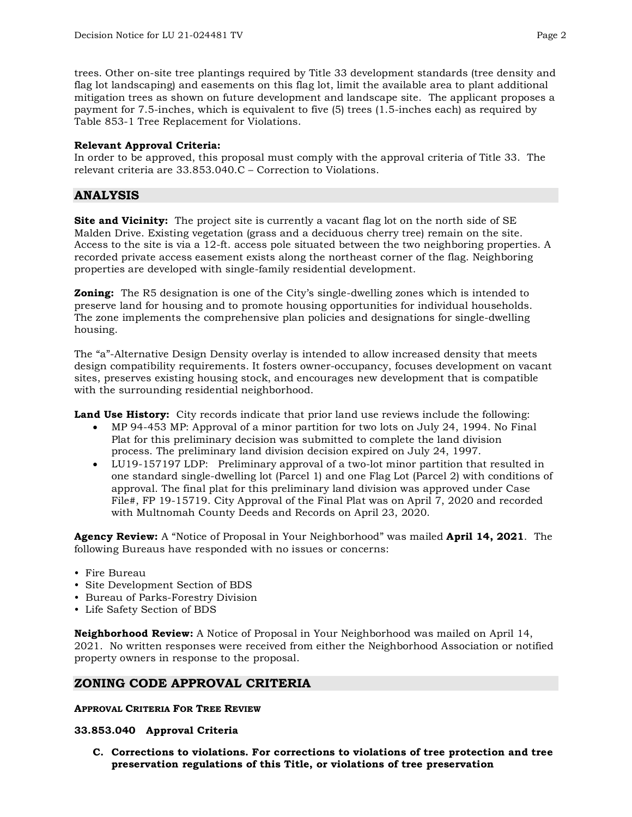trees. Other on-site tree plantings required by Title 33 development standards (tree density and flag lot landscaping) and easements on this flag lot, limit the available area to plant additional mitigation trees as shown on future development and landscape site. The applicant proposes a payment for 7.5-inches, which is equivalent to five (5) trees (1.5-inches each) as required by Table 853-1 Tree Replacement for Violations.

### **Relevant Approval Criteria:**

In order to be approved, this proposal must comply with the approval criteria of Title 33. The relevant criteria are 33.853.040.C – Correction to Violations.

# **ANALYSIS**

**Site and Vicinity:** The project site is currently a vacant flag lot on the north side of SE Malden Drive. Existing vegetation (grass and a deciduous cherry tree) remain on the site. Access to the site is via a 12-ft. access pole situated between the two neighboring properties. A recorded private access easement exists along the northeast corner of the flag. Neighboring properties are developed with single-family residential development.

**Zoning:** The R5 designation is one of the City's single-dwelling zones which is intended to preserve land for housing and to promote housing opportunities for individual households. The zone implements the comprehensive plan policies and designations for single-dwelling housing.

The "a"-Alternative Design Density overlay is intended to allow increased density that meets design compatibility requirements. It fosters owner-occupancy, focuses development on vacant sites, preserves existing housing stock, and encourages new development that is compatible with the surrounding residential neighborhood.

**Land Use History:** City records indicate that prior land use reviews include the following:

- MP 94-453 MP: Approval of a minor partition for two lots on July 24, 1994. No Final Plat for this preliminary decision was submitted to complete the land division process. The preliminary land division decision expired on July 24, 1997.
- LU19-157197 LDP: Preliminary approval of a two-lot minor partition that resulted in one standard single-dwelling lot (Parcel 1) and one Flag Lot (Parcel 2) with conditions of approval. The final plat for this preliminary land division was approved under Case File#, FP 19-15719. City Approval of the Final Plat was on April 7, 2020 and recorded with Multnomah County Deeds and Records on April 23, 2020.

**Agency Review:** A "Notice of Proposal in Your Neighborhood" was mailed **April 14, 2021**. The following Bureaus have responded with no issues or concerns:

- Fire Bureau
- Site Development Section of BDS
- Bureau of Parks-Forestry Division
- Life Safety Section of BDS

**Neighborhood Review:** A Notice of Proposal in Your Neighborhood was mailed on April 14, 2021. No written responses were received from either the Neighborhood Association or notified property owners in response to the proposal.

# **ZONING CODE APPROVAL CRITERIA**

#### **APPROVAL CRITERIA FOR TREE REVIEW**

#### **33.853.040 Approval Criteria**

**C. Corrections to violations. For corrections to violations of tree protection and tree preservation regulations of this Title, or violations of tree preservation**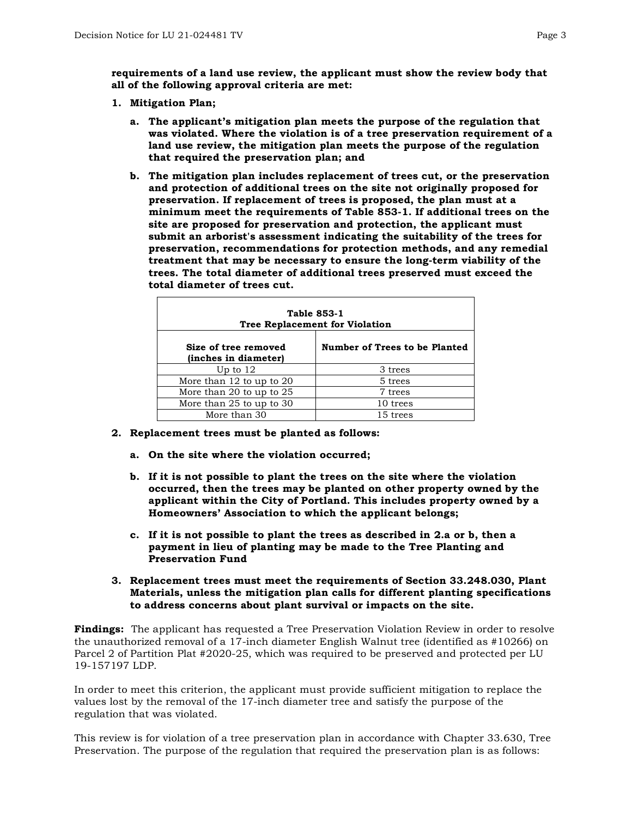**requirements of a land use review, the applicant must show the review body that all of the following approval criteria are met:**

- **1. Mitigation Plan;** 
	- **a. The applicant's mitigation plan meets the purpose of the regulation that was violated. Where the violation is of a tree preservation requirement of a land use review, the mitigation plan meets the purpose of the regulation that required the preservation plan; and**
	- **b. The mitigation plan includes replacement of trees cut, or the preservation and protection of additional trees on the site not originally proposed for preservation. If replacement of trees is proposed, the plan must at a minimum meet the requirements of Table 853-1. If additional trees on the site are proposed for preservation and protection, the applicant must submit an arborist's assessment indicating the suitability of the trees for preservation, recommendations for protection methods, and any remedial treatment that may be necessary to ensure the long-term viability of the trees. The total diameter of additional trees preserved must exceed the total diameter of trees cut.**

| <b>Table 853-1</b><br><b>Tree Replacement for Violation</b> |                               |  |  |
|-------------------------------------------------------------|-------------------------------|--|--|
| Size of tree removed<br>(inches in diameter)                | Number of Trees to be Planted |  |  |
| Up to $12$                                                  | 3 trees                       |  |  |
| More than 12 to up to 20                                    | 5 trees                       |  |  |
| More than 20 to up to 25                                    | 7 trees                       |  |  |
| More than 25 to up to 30                                    | 10 trees                      |  |  |
| More than 30                                                | 15 trees                      |  |  |

- **2. Replacement trees must be planted as follows:**
	- **a. On the site where the violation occurred;**
	- **b. If it is not possible to plant the trees on the site where the violation occurred, then the trees may be planted on other property owned by the applicant within the City of Portland. This includes property owned by a Homeowners' Association to which the applicant belongs;**
	- **c. If it is not possible to plant the trees as described in 2.a or b, then a payment in lieu of planting may be made to the Tree Planting and Preservation Fund**
- **3. Replacement trees must meet the requirements of Section 33.248.030, Plant Materials, unless the mitigation plan calls for different planting specifications to address concerns about plant survival or impacts on the site.**

**Findings:** The applicant has requested a Tree Preservation Violation Review in order to resolve the unauthorized removal of a 17-inch diameter English Walnut tree (identified as #10266) on Parcel 2 of Partition Plat #2020-25, which was required to be preserved and protected per LU 19-157197 LDP.

In order to meet this criterion, the applicant must provide sufficient mitigation to replace the values lost by the removal of the 17-inch diameter tree and satisfy the purpose of the regulation that was violated.

This review is for violation of a tree preservation plan in accordance with Chapter 33.630, Tree Preservation. The purpose of the regulation that required the preservation plan is as follows: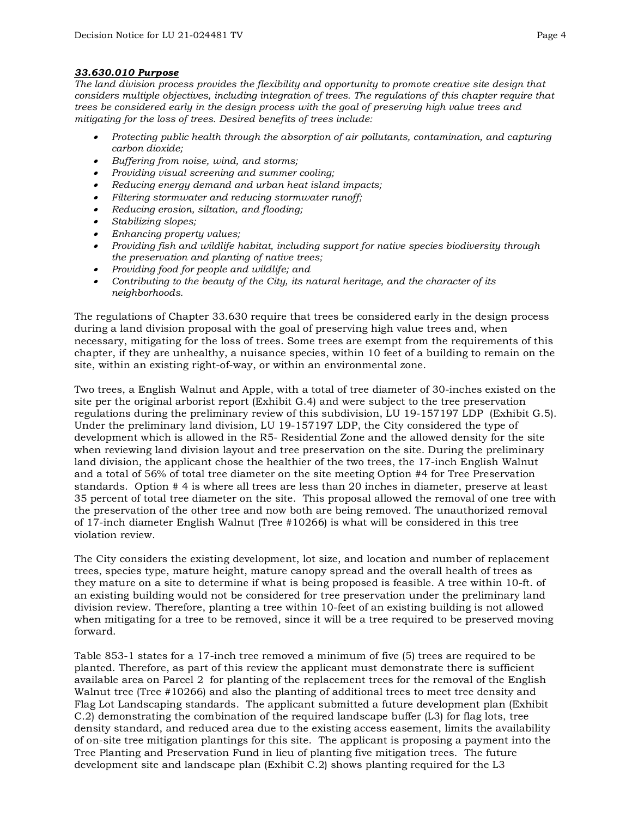### *33.630.010 Purpose*

*The land division process provides the flexibility and opportunity to promote creative site design that considers multiple objectives, including integration of trees. The regulations of this chapter require that trees be considered early in the design process with the goal of preserving high value trees and mitigating for the loss of trees. Desired benefits of trees include:*

- *Protecting public health through the absorption of air pollutants, contamination, and capturing carbon dioxide;*
- *Buffering from noise, wind, and storms;*
- *Providing visual screening and summer cooling;*
- *Reducing energy demand and urban heat island impacts;*
- *Filtering stormwater and reducing stormwater runoff;*
- *Reducing erosion, siltation, and flooding;*
- •*Stabilizing slopes;*
- *Enhancing property values;*
- *Providing fish and wildlife habitat, including support for native species biodiversity through the preservation and planting of native trees;*
- *Providing food for people and wildlife; and*
- *Contributing to the beauty of the City, its natural heritage, and the character of its neighborhoods.*

The regulations of Chapter 33.630 require that trees be considered early in the design process during a land division proposal with the goal of preserving high value trees and, when necessary, mitigating for the loss of trees. Some trees are exempt from the requirements of this chapter, if they are unhealthy, a nuisance species, within 10 feet of a building to remain on the site, within an existing right-of-way, or within an environmental zone.

Two trees, a English Walnut and Apple, with a total of tree diameter of 30-inches existed on the site per the original arborist report (Exhibit G.4) and were subject to the tree preservation regulations during the preliminary review of this subdivision, LU 19-157197 LDP (Exhibit G.5). Under the preliminary land division, LU 19-157197 LDP, the City considered the type of development which is allowed in the R5- Residential Zone and the allowed density for the site when reviewing land division layout and tree preservation on the site. During the preliminary land division, the applicant chose the healthier of the two trees, the 17-inch English Walnut and a total of 56% of total tree diameter on the site meeting Option #4 for Tree Preservation standards. Option # 4 is where all trees are less than 20 inches in diameter, preserve at least 35 percent of total tree diameter on the site. This proposal allowed the removal of one tree with the preservation of the other tree and now both are being removed. The unauthorized removal of 17-inch diameter English Walnut (Tree #10266) is what will be considered in this tree violation review.

The City considers the existing development, lot size, and location and number of replacement trees, species type, mature height, mature canopy spread and the overall health of trees as they mature on a site to determine if what is being proposed is feasible. A tree within 10-ft. of an existing building would not be considered for tree preservation under the preliminary land division review. Therefore, planting a tree within 10-feet of an existing building is not allowed when mitigating for a tree to be removed, since it will be a tree required to be preserved moving forward.

Table 853-1 states for a 17-inch tree removed a minimum of five (5) trees are required to be planted. Therefore, as part of this review the applicant must demonstrate there is sufficient available area on Parcel 2 for planting of the replacement trees for the removal of the English Walnut tree (Tree #10266) and also the planting of additional trees to meet tree density and Flag Lot Landscaping standards. The applicant submitted a future development plan (Exhibit C.2) demonstrating the combination of the required landscape buffer (L3) for flag lots, tree density standard, and reduced area due to the existing access easement, limits the availability of on-site tree mitigation plantings for this site. The applicant is proposing a payment into the Tree Planting and Preservation Fund in lieu of planting five mitigation trees. The future development site and landscape plan (Exhibit C.2) shows planting required for the L3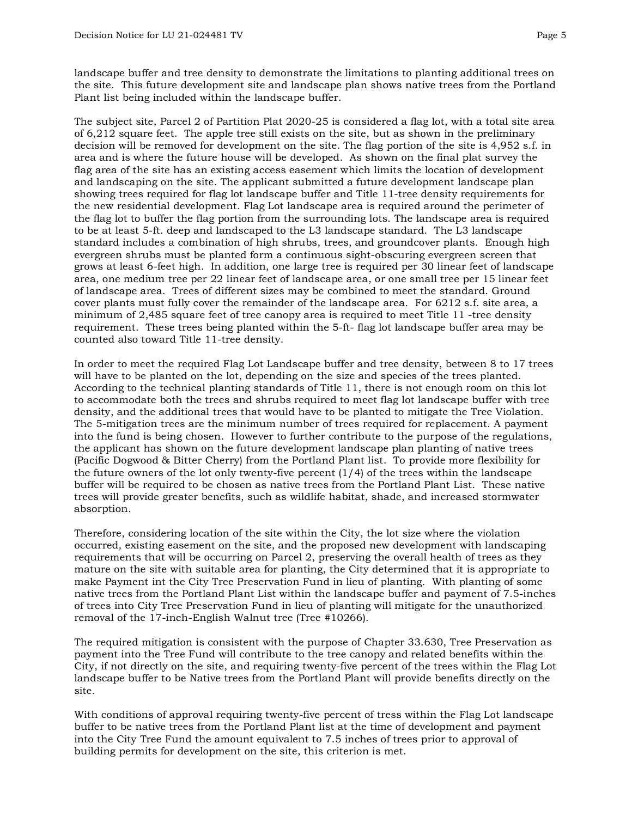landscape buffer and tree density to demonstrate the limitations to planting additional trees on the site. This future development site and landscape plan shows native trees from the Portland Plant list being included within the landscape buffer.

The subject site, Parcel 2 of Partition Plat 2020-25 is considered a flag lot, with a total site area of 6,212 square feet. The apple tree still exists on the site, but as shown in the preliminary decision will be removed for development on the site. The flag portion of the site is 4,952 s.f. in area and is where the future house will be developed. As shown on the final plat survey the flag area of the site has an existing access easement which limits the location of development and landscaping on the site. The applicant submitted a future development landscape plan showing trees required for flag lot landscape buffer and Title 11-tree density requirements for the new residential development. Flag Lot landscape area is required around the perimeter of the flag lot to buffer the flag portion from the surrounding lots. The landscape area is required to be at least 5-ft. deep and landscaped to the L3 landscape standard. The L3 landscape standard includes a combination of high shrubs, trees, and groundcover plants. Enough high evergreen shrubs must be planted form a continuous sight-obscuring evergreen screen that grows at least 6-feet high. In addition, one large tree is required per 30 linear feet of landscape area, one medium tree per 22 linear feet of landscape area, or one small tree per 15 linear feet of landscape area. Trees of different sizes may be combined to meet the standard. Ground cover plants must fully cover the remainder of the landscape area. For 6212 s.f. site area, a minimum of 2,485 square feet of tree canopy area is required to meet Title 11 -tree density requirement. These trees being planted within the 5-ft- flag lot landscape buffer area may be counted also toward Title 11-tree density.

In order to meet the required Flag Lot Landscape buffer and tree density, between 8 to 17 trees will have to be planted on the lot, depending on the size and species of the trees planted. According to the technical planting standards of Title 11, there is not enough room on this lot to accommodate both the trees and shrubs required to meet flag lot landscape buffer with tree density, and the additional trees that would have to be planted to mitigate the Tree Violation. The 5-mitigation trees are the minimum number of trees required for replacement. A payment into the fund is being chosen. However to further contribute to the purpose of the regulations, the applicant has shown on the future development landscape plan planting of native trees (Pacific Dogwood & Bitter Cherry) from the Portland Plant list. To provide more flexibility for the future owners of the lot only twenty-five percent  $(1/4)$  of the trees within the landscape buffer will be required to be chosen as native trees from the Portland Plant List. These native trees will provide greater benefits, such as wildlife habitat, shade, and increased stormwater absorption.

Therefore, considering location of the site within the City, the lot size where the violation occurred, existing easement on the site, and the proposed new development with landscaping requirements that will be occurring on Parcel 2, preserving the overall health of trees as they mature on the site with suitable area for planting, the City determined that it is appropriate to make Payment int the City Tree Preservation Fund in lieu of planting. With planting of some native trees from the Portland Plant List within the landscape buffer and payment of 7.5-inches of trees into City Tree Preservation Fund in lieu of planting will mitigate for the unauthorized removal of the 17-inch-English Walnut tree (Tree #10266).

The required mitigation is consistent with the purpose of Chapter 33.630, Tree Preservation as payment into the Tree Fund will contribute to the tree canopy and related benefits within the City, if not directly on the site, and requiring twenty-five percent of the trees within the Flag Lot landscape buffer to be Native trees from the Portland Plant will provide benefits directly on the site.

With conditions of approval requiring twenty-five percent of tress within the Flag Lot landscape buffer to be native trees from the Portland Plant list at the time of development and payment into the City Tree Fund the amount equivalent to 7.5 inches of trees prior to approval of building permits for development on the site, this criterion is met.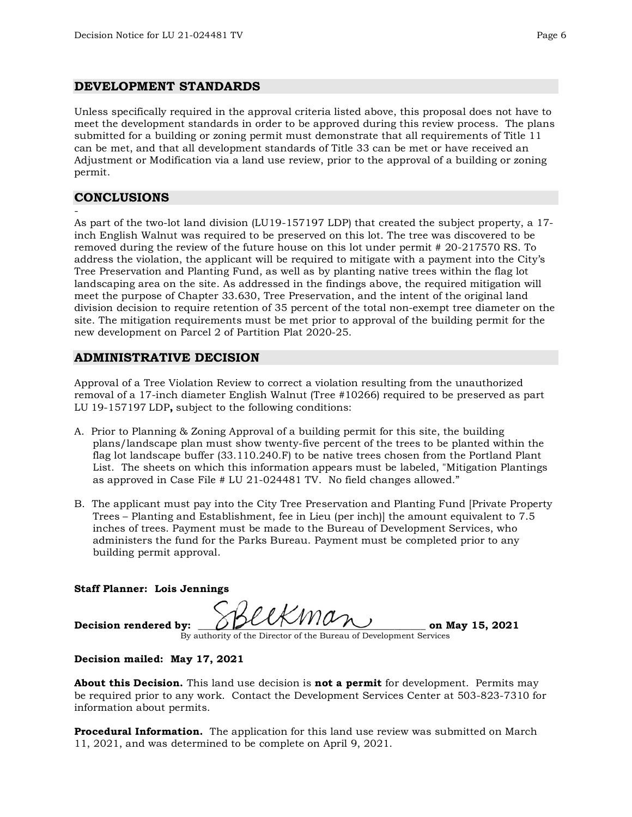## **DEVELOPMENT STANDARDS**

Unless specifically required in the approval criteria listed above, this proposal does not have to meet the development standards in order to be approved during this review process. The plans submitted for a building or zoning permit must demonstrate that all requirements of Title 11 can be met, and that all development standards of Title 33 can be met or have received an Adjustment or Modification via a land use review, prior to the approval of a building or zoning permit.

# **CONCLUSIONS**

-

As part of the two-lot land division (LU19-157197 LDP) that created the subject property, a 17 inch English Walnut was required to be preserved on this lot. The tree was discovered to be removed during the review of the future house on this lot under permit # 20-217570 RS. To address the violation, the applicant will be required to mitigate with a payment into the City's Tree Preservation and Planting Fund, as well as by planting native trees within the flag lot landscaping area on the site. As addressed in the findings above, the required mitigation will meet the purpose of Chapter 33.630, Tree Preservation, and the intent of the original land division decision to require retention of 35 percent of the total non-exempt tree diameter on the site. The mitigation requirements must be met prior to approval of the building permit for the new development on Parcel 2 of Partition Plat 2020-25.

# **ADMINISTRATIVE DECISION**

Approval of a Tree Violation Review to correct a violation resulting from the unauthorized removal of a 17-inch diameter English Walnut (Tree #10266) required to be preserved as part LU 19-157197 LDP**,** subject to the following conditions:

- A. Prior to Planning & Zoning Approval of a building permit for this site, the building plans/landscape plan must show twenty-five percent of the trees to be planted within the flag lot landscape buffer (33.110.240.F) to be native trees chosen from the Portland Plant List. The sheets on which this information appears must be labeled, "Mitigation Plantings as approved in Case File # LU 21-024481 TV. No field changes allowed."
- B. The applicant must pay into the City Tree Preservation and Planting Fund [Private Property Trees – Planting and Establishment, fee in Lieu (per inch)] the amount equivalent to 7.5 inches of trees. Payment must be made to the Bureau of Development Services, who administers the fund for the Parks Bureau. Payment must be completed prior to any building permit approval.

#### **Staff Planner: Lois Jennings**

Decision rendered by:  $\mathcal{BLL}$   $\mathcal{WML}$  on May 15, 2021

By authority of the Director of the Bureau of Development Services

#### **Decision mailed: May 17, 2021**

**About this Decision.** This land use decision is **not a permit** for development. Permits may be required prior to any work. Contact the Development Services Center at 503-823-7310 for information about permits.

**Procedural Information.** The application for this land use review was submitted on March 11, 2021, and was determined to be complete on April 9, 2021.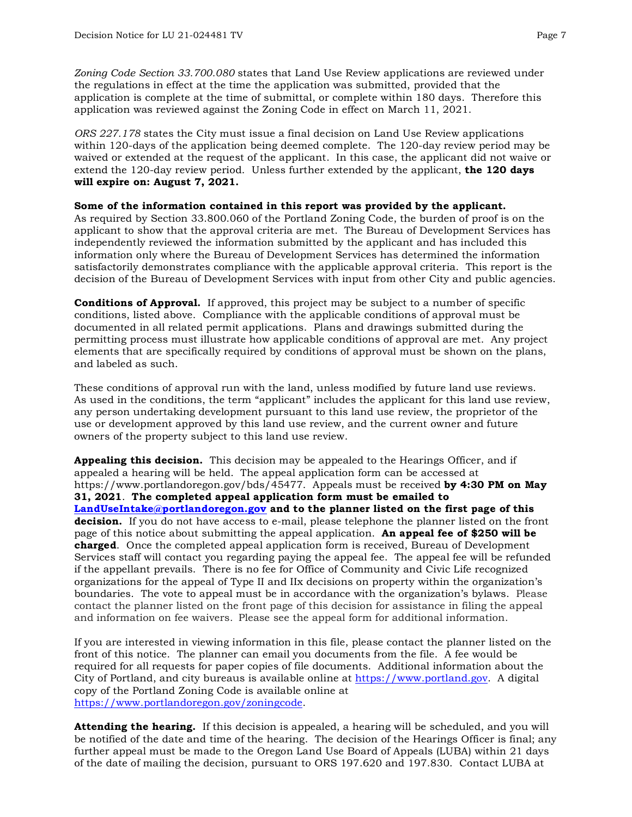*Zoning Code Section 33.700.080* states that Land Use Review applications are reviewed under the regulations in effect at the time the application was submitted, provided that the application is complete at the time of submittal, or complete within 180 days. Therefore this application was reviewed against the Zoning Code in effect on March 11, 2021.

*ORS 227.178* states the City must issue a final decision on Land Use Review applications within 120-days of the application being deemed complete. The 120-day review period may be waived or extended at the request of the applicant. In this case, the applicant did not waive or extend the 120-day review period. Unless further extended by the applicant, **the 120 days will expire on: August 7, 2021.**

**Some of the information contained in this report was provided by the applicant.** As required by Section 33.800.060 of the Portland Zoning Code, the burden of proof is on the applicant to show that the approval criteria are met. The Bureau of Development Services has independently reviewed the information submitted by the applicant and has included this information only where the Bureau of Development Services has determined the information satisfactorily demonstrates compliance with the applicable approval criteria. This report is the decision of the Bureau of Development Services with input from other City and public agencies.

**Conditions of Approval.** If approved, this project may be subject to a number of specific conditions, listed above. Compliance with the applicable conditions of approval must be documented in all related permit applications. Plans and drawings submitted during the permitting process must illustrate how applicable conditions of approval are met. Any project elements that are specifically required by conditions of approval must be shown on the plans, and labeled as such.

These conditions of approval run with the land, unless modified by future land use reviews. As used in the conditions, the term "applicant" includes the applicant for this land use review, any person undertaking development pursuant to this land use review, the proprietor of the use or development approved by this land use review, and the current owner and future owners of the property subject to this land use review.

**Appealing this decision.** This decision may be appealed to the Hearings Officer, and if appealed a hearing will be held. The appeal application form can be accessed at https://www.portlandoregon.gov/bds/45477. Appeals must be received **by 4:30 PM on May 31, 2021**. **The completed appeal application form must be emailed to [LandUseIntake@portlandoregon.gov](mailto:LandUseIntake@portlandoregon.gov) and to the planner listed on the first page of this decision.** If you do not have access to e-mail, please telephone the planner listed on the front page of this notice about submitting the appeal application. **An appeal fee of \$250 will be charged**. Once the completed appeal application form is received, Bureau of Development Services staff will contact you regarding paying the appeal fee. The appeal fee will be refunded if the appellant prevails. There is no fee for Office of Community and Civic Life recognized organizations for the appeal of Type II and IIx decisions on property within the organization's boundaries. The vote to appeal must be in accordance with the organization's bylaws. Please contact the planner listed on the front page of this decision for assistance in filing the appeal and information on fee waivers. Please see the appeal form for additional information.

If you are interested in viewing information in this file, please contact the planner listed on the front of this notice. The planner can email you documents from the file. A fee would be required for all requests for paper copies of file documents. Additional information about the City of Portland, and city bureaus is available online at [https://www.portland.gov.](https://www.portland.gov/) A digital copy of the Portland Zoning Code is available online at [https://www.portlandoregon.gov/zoningcode.](https://www.portlandoregon.gov/zoningcode)

**Attending the hearing.** If this decision is appealed, a hearing will be scheduled, and you will be notified of the date and time of the hearing. The decision of the Hearings Officer is final; any further appeal must be made to the Oregon Land Use Board of Appeals (LUBA) within 21 days of the date of mailing the decision, pursuant to ORS 197.620 and 197.830. Contact LUBA at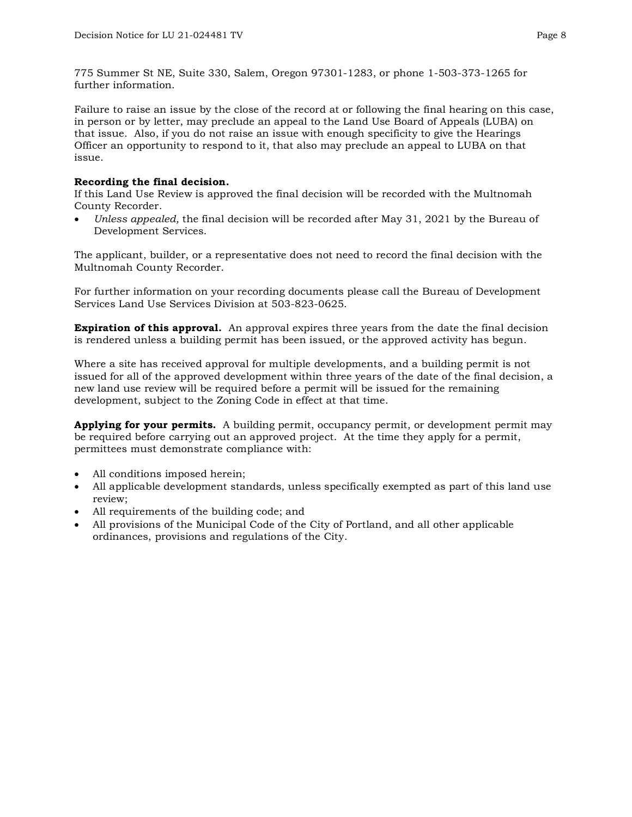775 Summer St NE, Suite 330, Salem, Oregon 97301-1283, or phone 1-503-373-1265 for further information.

Failure to raise an issue by the close of the record at or following the final hearing on this case, in person or by letter, may preclude an appeal to the Land Use Board of Appeals (LUBA) on that issue. Also, if you do not raise an issue with enough specificity to give the Hearings Officer an opportunity to respond to it, that also may preclude an appeal to LUBA on that issue.

## **Recording the final decision.**

If this Land Use Review is approved the final decision will be recorded with the Multnomah County Recorder.

• *Unless appealed,* the final decision will be recorded after May 31, 2021 by the Bureau of Development Services.

The applicant, builder, or a representative does not need to record the final decision with the Multnomah County Recorder.

For further information on your recording documents please call the Bureau of Development Services Land Use Services Division at 503-823-0625.

**Expiration of this approval.** An approval expires three years from the date the final decision is rendered unless a building permit has been issued, or the approved activity has begun.

Where a site has received approval for multiple developments, and a building permit is not issued for all of the approved development within three years of the date of the final decision, a new land use review will be required before a permit will be issued for the remaining development, subject to the Zoning Code in effect at that time.

**Applying for your permits.** A building permit, occupancy permit, or development permit may be required before carrying out an approved project. At the time they apply for a permit, permittees must demonstrate compliance with:

- All conditions imposed herein;
- All applicable development standards, unless specifically exempted as part of this land use review;
- All requirements of the building code; and
- All provisions of the Municipal Code of the City of Portland, and all other applicable ordinances, provisions and regulations of the City.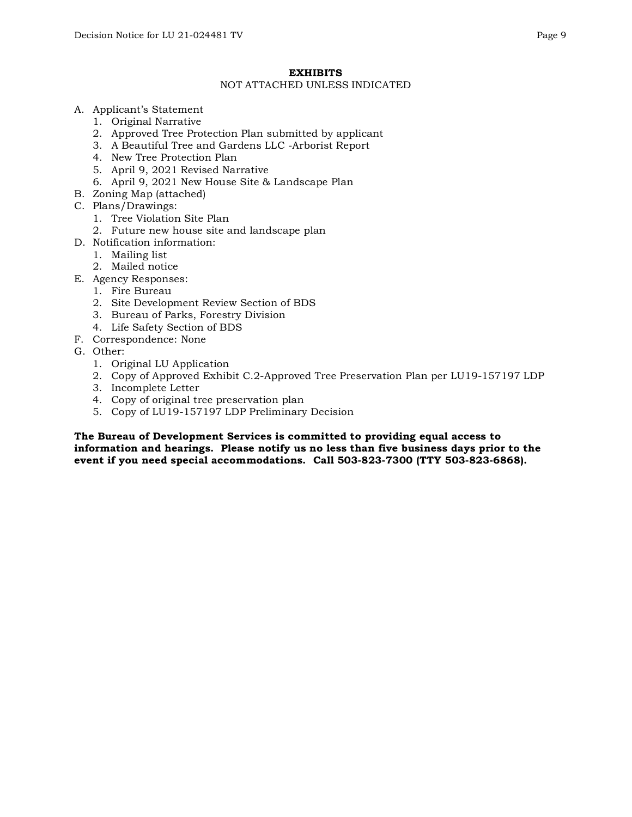#### **EXHIBITS**

#### NOT ATTACHED UNLESS INDICATED

- A. Applicant's Statement
	- 1. Original Narrative
	- 2. Approved Tree Protection Plan submitted by applicant
	- 3. A Beautiful Tree and Gardens LLC -Arborist Report
	- 4. New Tree Protection Plan
	- 5. April 9, 2021 Revised Narrative
	- 6. April 9, 2021 New House Site & Landscape Plan
- B. Zoning Map (attached)
- C. Plans/Drawings:
	- 1. Tree Violation Site Plan
	- 2. Future new house site and landscape plan
- D. Notification information:
	- 1. Mailing list
	- 2. Mailed notice
- E. Agency Responses:
	- 1. Fire Bureau
	- 2. Site Development Review Section of BDS
	- 3. Bureau of Parks, Forestry Division
	- 4. Life Safety Section of BDS
- F. Correspondence: None
- G. Other:
	- 1. Original LU Application
	- 2. Copy of Approved Exhibit C.2-Approved Tree Preservation Plan per LU19-157197 LDP
	- 3. Incomplete Letter
	- 4. Copy of original tree preservation plan
	- 5. Copy of LU19-157197 LDP Preliminary Decision

**The Bureau of Development Services is committed to providing equal access to information and hearings. Please notify us no less than five business days prior to the event if you need special accommodations. Call 503-823-7300 (TTY 503-823-6868).**